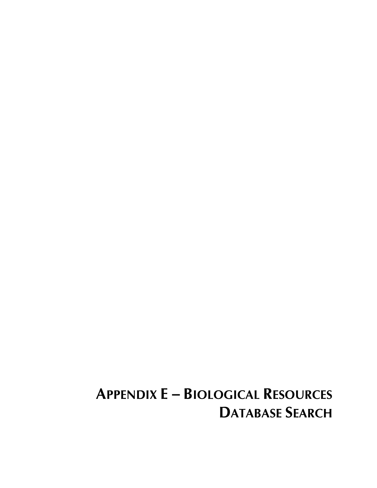# **APPENDIX E - BIOLOGICAL RESOURCES DATABASE SEARCH**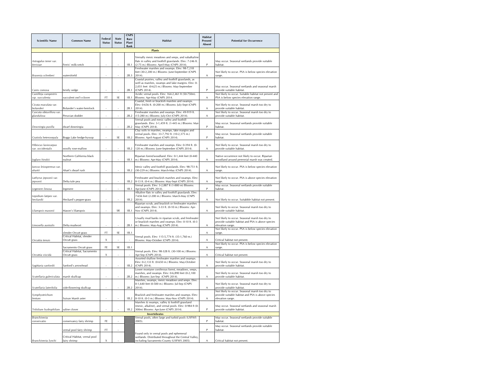| <b>Scientific Name</b>                    | Common Name                                               | Federal<br><b>Status</b> | <b>State</b><br><b>Status</b> | <b>CNPS</b><br>Rare<br>Plant<br>Rank | <b>Habitat</b>                                                                                                                                                            | Habitat<br>Present/<br><b>Potential for Occurrence</b><br>Absent   |                                                                                                                               |  |
|-------------------------------------------|-----------------------------------------------------------|--------------------------|-------------------------------|--------------------------------------|---------------------------------------------------------------------------------------------------------------------------------------------------------------------------|--------------------------------------------------------------------|-------------------------------------------------------------------------------------------------------------------------------|--|
|                                           |                                                           |                          |                               |                                      | <b>Plants</b>                                                                                                                                                             |                                                                    |                                                                                                                               |  |
| Astragalus tener var.<br>ferrisiae        | Ferris' milk-vetch                                        |                          |                               | 1B.1                                 | Vernally mesic meadows and seeps, and subalkaline<br>flats in valley and foothill grasslands. Elev: 7-246 ft.<br>(2-75 m.) Blooms: April-May (CNPS 2014)                  | P                                                                  | May occur. Seasonal wetlands provide suitable<br>habitat.                                                                     |  |
| Brasenia schreberi                        | watershield                                               |                          |                               | 2B.3                                 | Freshwater marshes and swamps. Elev: 98-7,218<br>feet (30-2,200 m.) Blooms: June-September (CNPS<br>2014).                                                                | Α                                                                  | Not likely to occur. PSA is below species elevation<br>range.                                                                 |  |
| Carex comosa                              | bristly sedge                                             |                          |                               | 2B.1                                 | Coastal prairies, valley and foothill grasslands, as<br>well as marshes, swamps and lake margins. Elev: 0-<br>2,051 feet (0-625 m.) Blooms: May-September<br>(CNPS 2014). | P                                                                  | May occur. Seasonal wetlands and seasonal marsh<br>provide suitable habitat.                                                  |  |
| Castilleja campestris<br>ssp. succulenta  | succulent owl's-clover                                    | <b>FT</b>                | SF                            | 1B.1                                 | Acidic vernal pools. Elev: 164-2,461 ft (50-750m).<br>Blooms: Apr-May (CNPS 2014.                                                                                         | Α                                                                  | Not likely to occur. Suitable habitat not present and<br>PSA is below species elevation range.                                |  |
| Cicuta maculata var.<br>bolanderi         | Bolander's water-hemlock                                  |                          |                               | 2B.1                                 | Coastal, fresh or brackish marshes and swamps.<br>Elev: 0-656 ft. (0-200 m.) Blooms: July-Sept (CNPS<br>$2014$ ).                                                         | A                                                                  | Not likely to occur. Seasonal marsh too dry to<br>provide suitable habitat.                                                   |  |
| Cuscuta obtusiflora var.<br>glandulosa    | Peruvian dodder                                           |                          |                               | 2B.2                                 | Freshwater marshes and swamps. Elev: 49-919 ft.<br>(15-280 m.) Blooms: July-Oct (CNPS 2014).<br>Vernal pools and mesic valley and foothill                                | A                                                                  | Not likely to occur. Seasonal marsh too dry to<br>provide suitable habitat.                                                   |  |
| Downingia pusilla                         | dwarf downingia                                           |                          |                               | 2B.2                                 | grasslands. Elev: 3-1,459 ft. (1-445 m.) Blooms: Mar-<br>May (CNPS 2014).<br>Clay soils in marshes, swamps, lake margins and                                              | P                                                                  | May occur. Seasonal wetlands provide suitable<br>habitat.                                                                     |  |
| Gratiola heterosepala                     | Boggs Lake hedge-hyssop                                   |                          | SE                            | 1B.2                                 | vernal pools. Elev: 33-7,792 ft. (10-2,375 m.)<br>Blooms: April-August (CNPS 2014).                                                                                       | P                                                                  | May occur. Seasonal wetlands provide suitable<br>habitat.                                                                     |  |
| Hibiscus Iasiocarpus<br>var. occidentalis | woolly rose-mallow                                        |                          |                               | 1B.2                                 | Freshwater marshes and swamps. Elev: 0-394 ft. (0-<br>120 m.) Blooms: June-September (CNPS 2014).                                                                         | A                                                                  | Not likely to occur. Seasonal marsh too dry to<br>provide suitable habitat.                                                   |  |
| Juglans hindsii                           | Northern California black<br>walnut                       |                          |                               | 1B.1                                 | Riparian forest/woodland, Elev: 0-1.444 feet (0-440<br>m.) Blooms: Apr-May (CNPS 2014).                                                                                   | Α                                                                  | Native occurrence not likely to occur. Riparian<br>woodland around perennial marsh was created.                               |  |
| Juncus leiospermus var.<br>ahartii        | Ahart's dwarf rush                                        |                          |                               | 1B.2                                 | Mesic valley and foothill grasslands. Elev: 98-751 ft.<br>(30-229 m.) Blooms: March-May (CNPS 2014).                                                                      | A                                                                  | Not likely to occur. PSA is below species elevation<br>range.                                                                 |  |
| Lathyrus jepsonii var.<br>jepsonii        | Delta tule pea                                            |                          |                               | 1B.2                                 | Freshwater and brackish marshes and swamps. Elev:<br>0-13 ft. (0-4 m.) Blooms: May-Sept (CNPS 2014).                                                                      | Α                                                                  | Not likely to occur. PSA is above species elevation<br>range                                                                  |  |
| Legenere limosa                           | legenere                                                  |                          |                               | 1B.1                                 | Vernal pools. Elev: 3-2,887 ft (1-880 m) Blooms:<br>Apr-June (CNPS 2014).                                                                                                 | p                                                                  | May occur. Seasonal wetlands provide suitable<br>habitat.                                                                     |  |
| Lepidium latipes var.<br>heckardii        | Heckard's pepper-grass                                    |                          |                               | 1B.2                                 | Alkaline flats in valley and foothill grasslands. Elev:<br>7-656 feet (2-200 m.) Blooms: March-May (CNPS<br>2014                                                          | A                                                                  | Not likely to occur. Suitabble habitat not present.                                                                           |  |
| Lilaeopsis masonii                        | Mason's lilaeopsis                                        |                          | SR                            | 1B.1                                 | Riparian scrub, and brackish or freshwater marshes<br>and swamps. Elev: 3-33 ft. (0-10 m.) Blooms: Apr-<br>Nov (CNPS 2014).                                               | A                                                                  | Not likely to occur. Seasonal marsh too dry to<br>provide suitable habitat.                                                   |  |
| Limosella australis                       | Delta mudwort                                             |                          |                               | 2B.1                                 | Usually mud banks in riparian scrub, and freshwater<br>or brackish marshes and swamps. Elev: 0-10 ft. (0-3<br>m.) Blooms: May-Aug (CNPS 2014).                            | A                                                                  | Not likely to occur. Seasonal marsh too dry to<br>provide suitable habitat and PSA is above species<br>elevation range.       |  |
|                                           | slender Orcutt grass<br>Critical Habitat, slender         | FT.                      | SF                            | 1 <sub>B</sub> .1                    | Vernal pools. Elev: 115-5,774 ft. (35-1,760 m.)                                                                                                                           | Not likely to occur. PSA is below species elevation<br>A<br>range. |                                                                                                                               |  |
| Orcuttia tenuis                           | Orcutt grass                                              | X                        |                               |                                      | Blooms: May-October (CNPS 2014).                                                                                                                                          | A                                                                  | Critical habitat not present.<br>Not likely to occur. PSA is below species elevation                                          |  |
|                                           | Sacramento Orcutt grass<br>Critical Habitat, Sacramento   | FE                       | SE                            | 1B.1                                 | Vernal pools. Elev: 98-328 ft. (30-100 m.) Blooms:                                                                                                                        | Α                                                                  | range                                                                                                                         |  |
| Orcuttia viscida                          | Orcutt grass                                              | X                        |                               |                                      | Apr-Sep (CNPS 2014).<br>Assorted shallow freshwater marshes and swamps.<br>Elev: 0-2,133 ft. (0-650 m.) Blooms: May-October                                               | Α                                                                  | Critical habitat not present.<br>Not likely to occur. Seasonal marsh too dry to                                               |  |
| Sagittaria sanfordii                      | Sanford's arrowhead                                       |                          |                               | 1B.2                                 | (CNPS 2014).<br>Lower montane coniferous forest, meadows, seeps,<br>marshes, and swamps. Elev: 0-6,890 feet (0-2,100                                                      | Α                                                                  | provide suitable habitat.<br>Not likely to occur. Seasonal marsh too dry to                                                   |  |
| Scutellaria galericulata                  | marsh skullcap                                            |                          |                               | 2B.2                                 | m.) Blooms: Jun-Sep (CNPS 2014).<br>Marshes, swamps, mesic meadows and seeps. Elev:                                                                                       | A                                                                  | provide suitable habitat.                                                                                                     |  |
| Scutellaria laterifolia                   | side-flowering skullcap                                   |                          |                               | 2B.2                                 | 0-1,640 feet (0-500 m.) Blooms: Jul-Sep (CNPS<br>2014).                                                                                                                   | Α                                                                  | Not likely to occur. Seasonal marsh too dry to<br>provide suitable habitat.<br>Not likely to occur. Seasonal marsh too dry to |  |
| Symphyotrichum<br>lentum                  | Suisun Marsh aster                                        |                          |                               | 1B.2                                 | Brackish and freshwater marshes and swamps. Elev:<br>0-10 ft. (0-3 m.) Blooms: May-Nov (CNPS 2014).<br>Marshes & swamps, valley & foothill grassland                      | Α                                                                  | provide suitable habitat and PSA is above species<br>elevation range.                                                         |  |
| Trifolium hydrophilum                     | saline clover                                             |                          |                               | 1B.2                                 | (mesic, alkaline), and vernal pools. Elev: 0-984 ft (0-<br>300m) Blooms: Apr-June (CNPS 2014).                                                                            | P                                                                  | May occur. Seasonal wetlands and seasonal marsh<br>provide suitable habitat.                                                  |  |
| <b>Branchinecta</b>                       |                                                           |                          |                               |                                      | <b>Invertebrates</b><br>Vernal pools, often large and turbid pools (USFWS                                                                                                 |                                                                    | May occur. Seasonal wetlands provide suitable                                                                                 |  |
| conservatio                               | conservancy fairy shrimp                                  | FE                       |                               |                                      | 2005)                                                                                                                                                                     | P                                                                  | habitat<br>May occur. Seasonal wetlands provide suitable                                                                      |  |
|                                           | vernal pool fairy shrimp<br>Critical Habitat, vernal pool | FT                       |                               |                                      | Found only in vernal pools and ephemeral<br>wetlands. Distributed throughout the Central Valley,                                                                          | P                                                                  | habitat.                                                                                                                      |  |
| Branchinecta lynchi                       | fairy shrimp                                              | X                        |                               |                                      | including Sacramento County (USFWS 2005).                                                                                                                                 | A                                                                  | Critical habitat not present.                                                                                                 |  |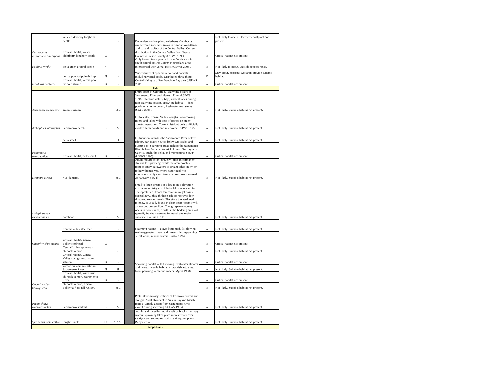|                                       | valley elderberry longhorn                      |    |           |  |                                                                                                          |   | Not likely to occur. Elderberry hostplant not |
|---------------------------------------|-------------------------------------------------|----|-----------|--|----------------------------------------------------------------------------------------------------------|---|-----------------------------------------------|
|                                       | beetle                                          | FT |           |  | Dependent on hostplant, elderberry (Sambucus                                                             | А | present.                                      |
|                                       |                                                 |    |           |  | spp.), which generally grows in riparian woodlands<br>and upland habitats of the Central Valley. Current |   |                                               |
| Desmocerus                            | Critical Habitat, valley                        |    |           |  | distribution in the Central Valley from Shasta                                                           |   |                                               |
| californicus dimorphus                | elderberry longhorn beetle                      | X  |           |  | County to Fresno County (USFWS 1999)                                                                     | A | Critical habitat not present                  |
|                                       |                                                 |    |           |  | Only known from greater Jepson Prairie area in                                                           |   |                                               |
| Elaphrus viridis                      | delta green ground beetle                       | FT |           |  | south-central Solano County in grassland areas<br>interspersed with vernal pools (USFWS 2005).           | А | Not likely to occur. Outside species range.   |
|                                       |                                                 |    |           |  |                                                                                                          |   |                                               |
|                                       |                                                 |    |           |  | Wide variety of ephemeral wetland habitats,                                                              |   | May occur. Seasonal wetlands provide suitable |
|                                       | vernal pool tadpole shrimp                      | FE |           |  | including vernal pools. Distributed throughout                                                           | P | habitat.                                      |
|                                       | Critical Habitat, vernal pool<br>tadpole shrimp | X  |           |  | Central Valley and San Francisco Bay area (USFWS                                                         | A | Critical habitat not present.                 |
| Lepidurus packardi                    |                                                 |    |           |  | 2005).                                                                                                   |   |                                               |
|                                       |                                                 |    |           |  | Fish<br>Intire coast of California. Spawning occurs in                                                   |   |                                               |
|                                       |                                                 |    |           |  | Sacramento River and Klamath River (USFWS                                                                |   |                                               |
|                                       |                                                 |    |           |  | 1996). Oceanic waters, bays, and estuaries during                                                        |   |                                               |
|                                       |                                                 |    |           |  | non-spawning season. Spawning habitat - deep                                                             |   |                                               |
|                                       |                                                 |    |           |  | pools in large, turbulent, freshwater mainstems                                                          |   |                                               |
| Acispenser medirostris                | green sturgeon                                  | FT | SSC       |  | (NMFS 2005).                                                                                             | A | Not likely. Suitable habitat not present.     |
|                                       |                                                 |    |           |  | Historically, Central Valley sloughs, slow-moving                                                        |   |                                               |
|                                       |                                                 |    |           |  | rivers, and lakes with beds of rooted emergent                                                           |   |                                               |
|                                       |                                                 |    |           |  | aquatic vegetation. Current distribution is artificially                                                 |   |                                               |
| Archoplites interruptus               | Sacramento perch                                |    | SSC       |  | atocked farm ponds and reservoirs (USFWS 1995).                                                          | A | Not likely. Suitable habitat not present.     |
|                                       |                                                 |    |           |  |                                                                                                          |   |                                               |
|                                       |                                                 |    |           |  | Distribution includes the Sacramento River below                                                         |   |                                               |
|                                       | delta smelt                                     | FT | <b>SE</b> |  | Isleton, San Joaquin River below Mossdale, and                                                           | A | Not likely. Suitable habitat not present.     |
|                                       |                                                 |    |           |  | Suisun Bay. Spawning areas include the Sacramento                                                        |   |                                               |
|                                       |                                                 |    |           |  | River below Sacramento, Mokelumne River system,                                                          |   |                                               |
| Hypomesus                             | Critical Habitat, delta smelt                   |    |           |  | Cache Slough, the delta, and Montezuma Slough                                                            |   |                                               |
| transpacificus                        |                                                 | X  |           |  | (USFWS 1995)<br>Adults require clean, gravelly riffles in permanent                                      | Α | Critical habitat not present.                 |
|                                       |                                                 |    |           |  | streams for spawning, while the ammocoetes                                                               |   |                                               |
|                                       |                                                 |    |           |  | require sandy backwaters or stream edges in which                                                        |   |                                               |
|                                       |                                                 |    |           |  | to bury themselves, where water quality is                                                               |   |                                               |
|                                       |                                                 |    |           |  | continuously high and temperatures do not exceed                                                         |   |                                               |
| Lampetra ayresii                      | river lamprey                                   |    | SSC       |  | 25°C (Moyle et. al).                                                                                     | Α | Not likely. Suitable habitat not present.     |
|                                       |                                                 |    |           |  | Small to large streams in a low to mid-elevation                                                         |   |                                               |
|                                       |                                                 |    |           |  | environment. May also inhabit lakes or reservoirs.                                                       |   |                                               |
|                                       |                                                 |    |           |  | Their preferred stream temperature might easily                                                          |   |                                               |
|                                       |                                                 |    |           |  | exceed 20°C, though these fish do not favor low                                                          |   |                                               |
|                                       |                                                 |    |           |  | dissolved oxygen levels. Therefore the hardhead                                                          |   |                                               |
|                                       |                                                 |    |           |  | minnow is usually found in clear deep streams with<br>a slow but present flow. Though spawning may       |   |                                               |
|                                       |                                                 |    |           |  | occur in pools, runs, or riffles, the bedding area will                                                  |   |                                               |
| Mylopharodon                          |                                                 |    |           |  | ypically be characterized by gravel and rocky                                                            |   |                                               |
| conocephalus                          | hardhead                                        |    | SSC       |  | substrate (CalFish 2014).                                                                                | Α | Not likely. Suitable habitat not present.     |
|                                       |                                                 |    |           |  |                                                                                                          |   |                                               |
|                                       |                                                 |    |           |  |                                                                                                          |   |                                               |
|                                       | Central Valley steelhead                        | FT |           |  | Spawning habitat - gravel-bottomed, fast-flowing,                                                        | A | Not likely. Suitable habitat not present.     |
|                                       |                                                 |    |           |  | well-oxygenated rivers and streams. Non-spawning<br>- estuarine, marine waters (Busby 1996).             |   |                                               |
|                                       | Critical Habitat, Central                       |    |           |  |                                                                                                          |   |                                               |
| Oncorhynchus mykiss                   | Valley steelhead                                | X  |           |  |                                                                                                          | A | Critical habitat not present.                 |
|                                       | Central Valley spring-run                       |    |           |  |                                                                                                          |   |                                               |
|                                       | chinook salmon                                  | FT | ST        |  |                                                                                                          | A | Not likely. Suitable habitat not present.     |
|                                       | Critical Habitat, Central                       |    |           |  |                                                                                                          |   |                                               |
|                                       | Valley spring-run chinook<br>salmon             | X  |           |  |                                                                                                          | A | Critical habitat not present.                 |
|                                       | winter-run chinook salmon.                      |    |           |  | Spawning habitat - fast moving, freshwater streams                                                       |   |                                               |
|                                       | Sacramento River                                | FE | SE        |  | and rivers. Juvenile habitat - brackish estuaries.                                                       | Α | Not likely. Suitable habitat not present.     |
|                                       | Critical Habitat, winter-run                    |    |           |  | Non-spawning - marine waters (Myers 1998).                                                               |   |                                               |
|                                       | chinook salmon, Sacramento                      |    |           |  |                                                                                                          |   |                                               |
|                                       | River<br>chinook salmon, Central                | Χ  |           |  |                                                                                                          | Α | Critical habitat not present.                 |
| Oncorhynchus<br>tshawytscha           | Valley fall/late fall-run ESU                   |    | SSC       |  |                                                                                                          | Α | Not likely. Suitable habitat not present.     |
|                                       |                                                 |    |           |  |                                                                                                          |   |                                               |
|                                       |                                                 |    |           |  | Prefer slow-moving sections of freshwater rivers and                                                     |   |                                               |
|                                       |                                                 |    |           |  | sloughs. Most abundant in Suisun Bay and Marsh                                                           |   |                                               |
| Pogonichthys                          |                                                 |    |           |  | region. Largely absent from Sacramento River                                                             |   |                                               |
| macrolepidotus                        | Sacramento splittail                            |    | SSC       |  | except during spawning (USFWS 1995).                                                                     | Α | Not likely. Suitable habitat not present.     |
|                                       |                                                 |    |           |  | Adults and juveniles require salt or brackish estuary                                                    |   |                                               |
|                                       |                                                 |    |           |  | waters. Spawning takes place in freshwater over                                                          |   |                                               |
| Spirinchus thaleichthys longfin smelt |                                                 | FC | ST/SSC    |  | sandy-gravel substrates, rocks, and aquatic plants<br>(Moyle et. al).                                    | A | Not likely. Suitable habitat not present.     |
|                                       |                                                 |    |           |  |                                                                                                          |   |                                               |
|                                       |                                                 |    |           |  | <b>Amphibians</b>                                                                                        |   |                                               |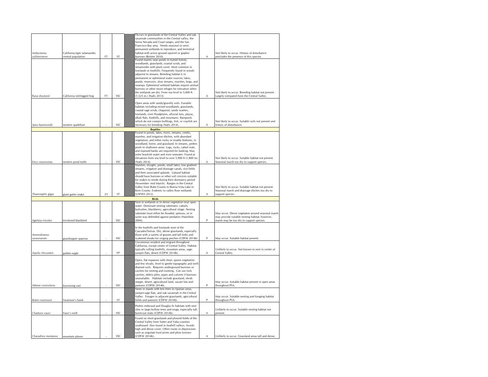|                     |                              |     |     | Occurs in grasslands of the Central Valley and oak                                                         |   |                                                     |
|---------------------|------------------------------|-----|-----|------------------------------------------------------------------------------------------------------------|---|-----------------------------------------------------|
|                     |                              |     |     | savannah communities in the Central valley, the                                                            |   |                                                     |
|                     |                              |     |     | Sierra Nevada and Coast ranges, and the San<br>Francisco Bay area. Needs seasonal or semi-                 |   |                                                     |
|                     |                              |     |     | permanent wetlands to reproduce, and terrestrial                                                           |   |                                                     |
| Ambystoma           | California tiger salamander, |     |     | habitat with active ground squirrel or gopher                                                              |   | Not likely to occur. History of disturbance         |
| californiense       | central population           | FT  | ST  | burrows (Bolster 2010).                                                                                    | A | precludes the presence of this species.             |
|                     |                              |     |     | Found mainly near ponds in humid forests,                                                                  |   |                                                     |
|                     |                              |     |     | woodlands, grasslands, coastal scrub, and                                                                  |   |                                                     |
|                     |                              |     |     | streamsides with plant cover. Most common in<br>lowlands or foothills. Frequently found in woods           |   |                                                     |
|                     |                              |     |     | adjacent to streams. Breeding habitat is in                                                                |   |                                                     |
|                     |                              |     |     | permanent or ephemeral water sources; lakes,                                                               |   |                                                     |
|                     |                              |     |     | ponds, reservoirs, slow streams, marshes, bogs, and                                                        |   |                                                     |
|                     |                              |     |     | swamps. Ephemeral wetland habitats require animal                                                          |   |                                                     |
|                     |                              |     |     | burrows or other moist refuges for estivation when                                                         |   |                                                     |
|                     |                              |     |     | the wetlands are dry. From sea level to 5,000 ft.                                                          |   | Not likely to occur. Breeding habitat not present.  |
| Rana draytonii      | California red-legged frog   | FT  | SSC | (1,525 m.) (Nafis 2013).                                                                                   | Α | Largely extirpated form the Central Valley.         |
|                     |                              |     |     | Open areas with sandy/gravelly soils. Variable                                                             |   |                                                     |
|                     |                              |     |     | habitats including mixed woodlands, grasslands,                                                            |   |                                                     |
|                     |                              |     |     | coastal sage scrub, chaparral, sandy washes,                                                               |   |                                                     |
|                     |                              |     |     | lowlands, river floodplains, alluvial fans, playas,                                                        |   |                                                     |
|                     |                              |     |     | alkali flats, foothills, and mountains, Rainpools                                                          |   |                                                     |
|                     |                              |     |     | which do not contain bullfrogs, fish, or crayfish are                                                      |   | Not likely to occur. Suitable soils not present and |
| Spea hammondii      | western spadefoot            |     | SSC | necessary for breeding (Nafis 2014).                                                                       | A | history of disturbance.                             |
|                     |                              |     |     | <b>Reptiles</b>                                                                                            |   |                                                     |
|                     |                              |     |     | Found in ponds, lakes, rivers, streams, creeks,                                                            |   |                                                     |
|                     |                              |     |     | marshes, and irrigation ditches, with abundant<br>vegetation, and either rocky or muddy bottoms, in        |   |                                                     |
|                     |                              |     |     | woodland, forest, and grassland. In streams, prefers                                                       |   |                                                     |
|                     |                              |     |     | pools to shallower areas. Logs, rocks, cattail mats,                                                       |   |                                                     |
|                     |                              |     |     | and exposed banks are required for basking. May                                                            |   |                                                     |
|                     |                              |     |     | enter brackish water and even seawater. Found at                                                           |   |                                                     |
|                     |                              |     |     | elevations from sea level to over 5,900 ft (1,800 m).                                                      |   | Not likely to occur. Suitable habitat not present.  |
| Emvs marmorata      | western pond turtle          |     | SSC | (Nafis 2014).                                                                                              | A | Seasonal marsh too dry to support species.          |
|                     |                              |     |     | Marshes, sloughs, ponds, small lakes, low gradient                                                         |   |                                                     |
|                     |                              |     |     | streams, irrigation and drainage canals, rice fields<br>and their associated uplands. Upland habitat       |   |                                                     |
|                     |                              |     |     | should have burrows or other soil crevices suitable                                                        |   |                                                     |
|                     |                              |     |     | for snakes to reside during their dormancy period                                                          |   |                                                     |
|                     |                              |     |     | (November- mid March). Ranges in the Central                                                               |   |                                                     |
|                     |                              |     |     | Valley from Butte County to Buena Vista Lake in                                                            |   | Not likely to occur. Suitable habitat not present.  |
|                     |                              |     |     | Kern County. Endemic to valley floor wetlands                                                              |   | Seasonal marsh and drainage ditches too dry to      |
| Thamnophis gigas    | giant garter snake           | FT. | ST  | (USFWS 2012).                                                                                              | A | support species.                                    |
|                     |                              |     |     | <b>Birds</b>                                                                                               |   |                                                     |
|                     |                              |     |     | vest in wetlands or in dense vegetation near open                                                          |   |                                                     |
|                     |                              |     |     | water. Dominant nesting substrates: cattails,                                                              |   |                                                     |
|                     |                              |     |     | bulrushes, blackberry, agricultural silage. Nesting<br>substrate must either be flooded, spinous, or in    |   | May occur. Dense vegetaton around seasonal marsh    |
|                     |                              |     |     | some way defended against predators (Hamilton                                                              |   | may provide suitable nesting habitat; however,      |
| Agelaius tricolor   | tricolored blackbird         |     | SSC | 2004).                                                                                                     | P | marsh may be too dry to support species.            |
|                     |                              |     |     |                                                                                                            |   |                                                     |
|                     |                              |     |     | In the foothills and lowlands west of the                                                                  |   |                                                     |
|                     |                              |     |     | Cascades/Sierras. Dry, dense grasslands, especially                                                        |   |                                                     |
| Ammodramus          |                              |     |     | those with a variety of grasses and tall forbs and                                                         |   |                                                     |
| savannarum          | grasshopper sparrow          |     | SSC | scattered shrubs for singing perches (CDFW 2014b)                                                          | P | May occur. Suitable habitat present.                |
|                     |                              |     |     | Uncommon resident and migrant throughout                                                                   |   |                                                     |
|                     |                              |     |     | California, except center of Central Valley. Habitat<br>typically rolling foothills, mountain areas, sage- |   | Unlikely to occur. Not known to nest in center of   |
| Aquila chrysaetos   | golden eagle                 |     | FP  | juniper flats, desert (CDFW 2014b).                                                                        | A | Central Valley                                      |
|                     |                              |     |     |                                                                                                            |   |                                                     |
|                     |                              |     |     | Open, flat expanses with short, sparse vegetation                                                          |   |                                                     |
|                     |                              |     |     | and few shrubs, level to gentle topography and well-                                                       |   |                                                     |
|                     |                              |     |     | drained soils. Requires underground burrows or                                                             |   |                                                     |
|                     |                              |     |     | cavities for nesting and roosting. Can use rock<br>cavities, debris piles, pipes and culverts if burrows   |   |                                                     |
|                     |                              |     |     | unavailable. Habitats include grassland, shrub                                                             |   |                                                     |
|                     |                              |     |     | steppe, desert, agricultural land, vacant lots and                                                         |   | May occur. Suitable habitat present in open areas   |
| Athene cunicularia  | burrowing owl                |     | SSC | pastures (CDFW 2014b).                                                                                     | P | throughout PSA.                                     |
|                     |                              |     |     | Nests in stands with few trees in riparian areas,                                                          |   |                                                     |
|                     |                              |     |     | juniper-sage flats, and oak savannah in the Central                                                        |   |                                                     |
|                     |                              |     |     | Valley. Forages in adjacent grasslands, agricultural                                                       | p | May occur. Suitable nesting and foraging habitat    |
| Buteo swainsoni     | Swainson's hawk              |     | ST  | fields and pastures (CDFW 2014b).                                                                          |   | throughout PSA                                      |
|                     |                              |     |     | Prefers redwood and Douglas fir habitats with nest                                                         |   |                                                     |
|                     |                              |     |     | sites in large hollow trees and snags, especially tall,                                                    |   | Unlikely to occur. Suitable nesting habitat not     |
| Chaetura vauxi      | Vaux's swift                 |     | SSC | burnt-out stubs (CDFW 2014b).                                                                              | А | present.                                            |
|                     |                              |     |     | Found on short grasslands and plowed fields of the                                                         |   |                                                     |
|                     |                              |     |     | Central Valley from Sutter and Yuba counties                                                               |   |                                                     |
|                     |                              |     |     | southward. Also found in foothill valleys. Avoids                                                          |   |                                                     |
|                     |                              |     |     | high and dense cover. Often roosts in depressions                                                          |   |                                                     |
|                     |                              |     |     | such as ungulate hoof prints and plow furrows                                                              |   |                                                     |
| Charadrius montanus | mountain plover              |     | SSC | (CDFW 2014b).                                                                                              | Α | Unlikely to occur. Grassland areas tall and dense.  |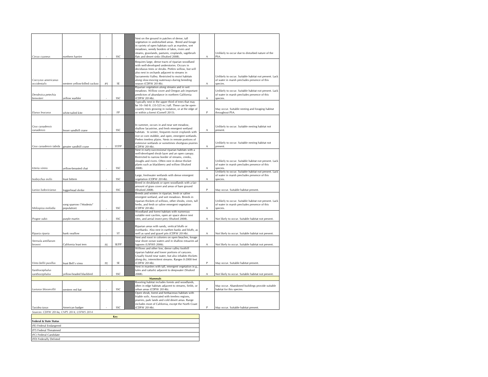| Circus cyaneus                       | northern harrier                           |    | SSC       | Nest on the ground in patches of dense, tall<br>vegetation in undisturbed areas. Breed and forage<br>in variety of open habitats such as marshes, wet<br>meadows, weedy borders of lakes, rivers and<br>steams, grasslands, pastures, croplands, sagebrush<br>flats and desert sinks (Shuford 2008).                              | $\mathsf A$    | Unlikely to occur due to disturbed nature of the<br>PSA.                                                          |
|--------------------------------------|--------------------------------------------|----|-----------|-----------------------------------------------------------------------------------------------------------------------------------------------------------------------------------------------------------------------------------------------------------------------------------------------------------------------------------|----------------|-------------------------------------------------------------------------------------------------------------------|
| Coccyzus americanus<br>occidentalis  | western yellow-billed cuckoo               | PT | SF        | Requires large, dense tracts of riparian woodland<br>with well-developed understories. Occurs in<br>deciduous trees or shrubs. Prefers willow, but will<br>also nest in orchards adiacent to streams in<br>Sacramento Valley. Restricted to moist habitats<br>along slow-moving waterways during breeding<br>season (CDFW 2014b). | A              | Unlikely to occur. Suitable habitat not present. Lack<br>of water in marsh precludes presence of this<br>species. |
|                                      |                                            |    |           | Riparian vegetation along streams and in wet                                                                                                                                                                                                                                                                                      |                |                                                                                                                   |
| Dendroica petechia<br>brewsteri      | vellow warbler                             |    | SSC       | meadows. Willow cover and Oregon ash important<br>predictors of abundance in northern California<br>CDFW 2014b).                                                                                                                                                                                                                  | A              | Unlikely to occur. Suitable habitat not present. Lack<br>of water in marsh precludes presence of this<br>species. |
| Elanus leucurus                      | white-tailed kite                          |    | <b>FP</b> | Typically nest in the upper third of trees that may<br>be 10-160 ft. (33-525 m.) tall. These can be open-<br>country trees growing in isolation, or at the edge of<br>or within a forest (Cornell 2013).                                                                                                                          | P              | May occur. Suitable nesting and foraging habitat<br>throughout PSA.                                               |
|                                      |                                            |    |           | In summer, occurs in and near wet meadow,                                                                                                                                                                                                                                                                                         |                |                                                                                                                   |
| <b>Crus</b> canadensis<br>canadensis | lesser sandhill crane                      |    | SSC       | shallow lacustrine, and fresh emergent wetland<br>habitats. In winter, frequents moist croplands with                                                                                                                                                                                                                             | Α              | Unlikely to occur. Suitable nesting habitat not<br>present.                                                       |
| Grus canadensis tabida               | greater sandhill crane                     |    | ST/FP     | rice or corn stubble, and open, emergent wetlands.<br>Prefers treeless plains. Nests in remote portions of<br>extensive wetlands or sometimes shortgrass prairies<br>CDFW 2014b).                                                                                                                                                 | $\overline{A}$ | Unlikely to occur. Suitable nesting habitat not<br>present.                                                       |
|                                      |                                            |    |           | Nest in early-successional riparian habitats with a                                                                                                                                                                                                                                                                               |                |                                                                                                                   |
| Icteria virens                       | yellow-breasted chat                       |    | SSC       | well-developed shrub layer and an open canopy.<br>Restricted to narrow border of streams, creeks,<br>sloughs and rivers. Often nest in dense thicket<br>plants such as blackberry and willow (Shuford<br>2008).                                                                                                                   | A              | Unlikely to occur. Suitable habitat not present. Lack<br>of water in marsh precludes presence of this<br>species. |
|                                      |                                            |    |           | Large, freshwater wetlands with dense emergent                                                                                                                                                                                                                                                                                    |                | Unlikely to occur. Suitable habitat not present. Lack<br>of water in marsh precludes presence of this             |
| Ixobrychus exilis                    | least bittern                              |    | SSC       | vegetation (CDFW 2014b).                                                                                                                                                                                                                                                                                                          | A              | species.                                                                                                          |
| Lanius ludovicianus                  | loggerhead shrike                          |    | SSC       | Breed in shrublands or open woodlands with a fair<br>amount of grass cover and areas of bare ground<br>Shuford 2008).                                                                                                                                                                                                             | P              | May occur. Suitable habitat present.                                                                              |
| Melospiza melodia                    | song sparrow ("Modesto"<br>population)     |    | SSC       | Breeds and winters in riparian, fresh or saline<br>emergent wetland, and wet meadows. Breeds in<br>riparian thickets of willows, other shrubs, vines, tall<br>herbs, and fresh or saline emergent vegetation<br>CDFW 2014b).                                                                                                      | А              | Unlikely to occur. Suitable habitat not present. Lack<br>of water in marsh precludes presence of this<br>species. |
| Progne subis                         | purple martin                              |    | SSC       | Woodland and forest habitats with numerous<br>suitable nest cavities, open air space above nest<br>sites, and aerial insect prey (Shuford 2008).                                                                                                                                                                                  | A              | Not likely to occur. Suitable habitat not present.                                                                |
|                                      |                                            |    |           | Riparian areas with sandy, vertical bluffs or<br>riverbanks. Also nest in earthen banks and bluffs, as                                                                                                                                                                                                                            |                |                                                                                                                   |
| Riparia riparia                      | bank swallow                               |    | ST        | well as sand and gravel pits (CDFW 2014b).<br>Nest and roost in colonies on open beaches, forage                                                                                                                                                                                                                                  | A              | Not likely to occur. Suitable habitat not present.                                                                |
| Sternula antillarum<br>browni        | California least tern                      | FE | SE/FP     | near shore ocean waters and in shallow estuaries ad<br>agoons (USFWS 2006).<br>Willows and other low, dense valley foothill                                                                                                                                                                                                       | Α              | Not likely to occur. Suitable habitat not present.                                                                |
| Vireo bellii pusillus                | least Bell's vireo                         | FE | <b>SE</b> | riparian habitat and lower portions of canyons.<br>Jsually found near water, but also inhabits thickets<br>along drv. intermittent streams. Ranges 0-2000 feet<br>(CDFW 2014b).                                                                                                                                                   | P              | May occur. Suitable habitat present.                                                                              |
| Xanthocephalus                       |                                            |    |           | Nest in marshes with tall, emergent vegetation (e.g.<br>tules and cattails) adjacent to deepwater (Shuford                                                                                                                                                                                                                        |                |                                                                                                                   |
| xanthocephalus                       | yellow-headed blackbird                    |    | SSC       | 2008).<br><b>Mammals</b>                                                                                                                                                                                                                                                                                                          | А              | Not likely to occur. Suitable habitat not present.                                                                |
|                                      |                                            |    |           | Roosting habitat includes forests and woodlands,                                                                                                                                                                                                                                                                                  |                |                                                                                                                   |
| Lasiurus blossevillii                | western red bat                            |    | SSC       | often in edge habitats adjacent to streams, fields, or<br>urban areas (CDFW 2014b).                                                                                                                                                                                                                                               | P              | May occur. Abandoned buildings provide suitable<br>habitat for this species.                                      |
| Taxidea taxus                        | American badger                            |    | SSC       | Open shrub, forest and herbaceous habitats with<br>friable soils. Associated with treeless regions,<br>prairies, park lands and cold desert areas. Range<br>includes most of California, except the North Coast<br>CDFW 2014b).                                                                                                   | P              | May occur. Suitable habitat present.                                                                              |
|                                      | Sources: CDFW 2014a, CNPS 2014, USFWS 2014 |    |           |                                                                                                                                                                                                                                                                                                                                   |                |                                                                                                                   |
| Federal & State Status               |                                            |    | Key       |                                                                                                                                                                                                                                                                                                                                   |                |                                                                                                                   |
| (FE) Federal Endangered              |                                            |    |           |                                                                                                                                                                                                                                                                                                                                   |                |                                                                                                                   |
| (FT) Federal Threatened              |                                            |    |           |                                                                                                                                                                                                                                                                                                                                   |                |                                                                                                                   |

| Sources: CDFW 2014a, CNPS 2014, USFWS 2014 |     |
|--------------------------------------------|-----|
|                                            | Kev |
| Federal & State Status                     |     |
| (FE) Federal Endangered                    |     |
| (FT) Federal Threatened                    |     |
| (FC) Federal Candidate                     |     |
| (FD) Federally Delisted                    |     |
|                                            |     |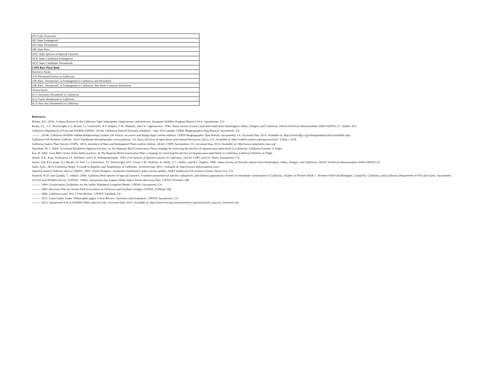| (FP) Fully Protected                                                          |
|-------------------------------------------------------------------------------|
| (SE) State Endangered                                                         |
| (ST) State Threatened                                                         |
| (SR) State Rare                                                               |
| (SSC) State Species of Special Concern                                        |
| (SCE) State Candidate Endangered                                              |
| (SCT) State Candidate Threatened                                              |
| <b>CNPS Rare Plant Rank</b>                                                   |
| <b>Rareness Ranks</b>                                                         |
| (1A) Presumed Extinct in California                                           |
| (1B) Rare, Threatened, or Endangered in California and Elsewhere              |
| (2B) Rare, Threatened, or Endangered in California, But More Common Elsewhere |
| <b>Threat Ranks</b>                                                           |
| (0.1) Seriously threatened in California                                      |
| (0.2) Fairly threatened in California                                         |
| (0.3) Not very threatened in California                                       |

#### **References**

Bolster, B.C. 2010. A Status Review of the California Tiger Salamander (Ambystoma californiense). Nongame Wildlife Program Report 210-4; Sacramento, CA.

Busby, P.J., T.C. Wainwright, G.J. Bryant, L.J. Lierheimer, R.S. Waples, F.W. Waknitz, and I.V. Lagomarsino. 1996. Status review of west coast steel head from Washington, Idaho, Oregon, and California. NOAA Technical Memor

California Department of Fish and Wildlife (CDFW). 2014a. California Natural Diversity Database – May 2014 update. CDFW Biogeographic Data Branch; Sacramento, CA.

--. 2014b. California Wildlife Habitat Relationships System Life History Accounts and Range Maps (online edition). CDFW Biogeographic Data Branch; Sacramento, CA. Accessed May 2014. Available at: http://www.dfg.ca.gov/biog

California Fish Website (CalFish). 2014. Hardhead (Mylopharodon conocephalus). UC Davis Division of Agriculture and Natural Resources; Davis, CA. Available at: http://calfish.ucdavis.edu/species/?uid=37&ds=241#

California Native Plant Society (CNPS). 2014. Inventory of Rare and Endangered Plants (online edition, v8-02). CNPS; Sacramento, CA. Accessed May 2014. Available at: http://www.rareplants.cnps.org/

Hamilton, W. J. 2004. Tricolored Blackbird (Agelaius tricolor). In The Riparian Bird Conservation Plan:a strategy for reversing the decline of riparian-associated birds in California. California Partners in Flight.

Kus, B. 2002. Least Bell's Vireo (Vireo bellii pusillus). In The Riparian Bird Conservation Plan: a strategy for reversing the decline of riparian-associated birds in California. California Partners in Flight.

Moyle, P.B., R.M. Yoshiyama, J.E. Williams, and E.D. Wikramamayake. 1995. Fish Species of Special Concern in California, 2nd Ed. CDFG and UC Davis; Sacramento, CA.

Myers, J.M, R.G. Kope, G.J. Bryant, D. Teel, L.J. Lierheimer, T.C Wainwright, W.S. Grant, F.W. Waknitz, K. Neely, S.T. Lindley, and R.S. Waples. 1998. Status review of Chinook salmon from Washington, Idaho, Oregon, and Cal

Nafis, Gary. 2014. California Herps: A Guide to Reptiles and Amphibians of California. Accessed May 2014. Available at: http://www.californiaherps.com/

National Marine Fisheries Service (NMFS). 2005. Green Sturgeon ( Acipenser medirostris) status review update. NMFS Southwest Fish Science Center; Santa Cruz, CA.

Shuford, W.D. and Gardali, T., editors. 2008. California Bird Species of Special Concem: A ranked assessment of species, subspecies, and distinct populations of birds of immediate conservation in California. Studies of Wes US Fish and Wildlife Service (USFWS). 1996a. Sacramento-San Joaquin Delta Native Fishes Recovery Plan. USFWS; Portland, OR.

———. 1999. Conservation Guidelines for the Valley Elderberry Longhorn Beetle. USFWS; Sacramento, CA.

———. 2005. Recovery Plan for Vernal Pool Ecosystems of California and Southern Oregon. USFWS; Portland, OR.

———. 2006. California Least Tern 5-Year Review. USFWS; Carlsbad, CA.

———. 2012. Giant Garter Snake (Thamnophis gigas) 5-Year Review: Summary and Evaluation. USFWS; Sacramento, CA.

———. 2014. Sacramento Fish & Wildlife Office Species Lists. Accessed May 2014. Available at: http://www.fws.gov/sacramento/es\_species/Lists/es\_species\_lists-form.cfm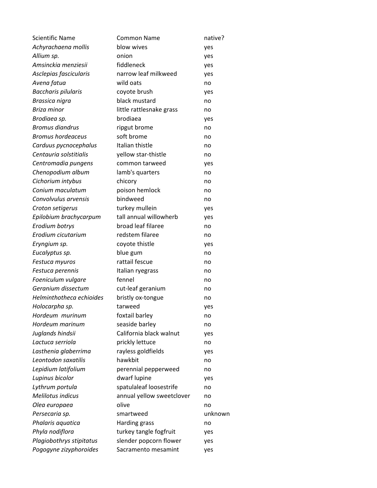| <b>Scientific Name</b>     | Common Name               | native? |
|----------------------------|---------------------------|---------|
| Achyrachaena mollis        | blow wives                | yes     |
| Allium sp.                 | onion                     | yes     |
| Amsinckia menziesii        | fiddleneck                | yes     |
| Asclepias fascicularis     | narrow leaf milkweed      | yes     |
| Avena fatua                | wild oats                 | no      |
| <b>Baccharis pilularis</b> | coyote brush              | yes     |
| Brassica nigra             | black mustard             | no      |
| Briza minor                | little rattlesnake grass  | no      |
| Brodiaea sp.               | brodiaea                  | yes     |
| <b>Bromus diandrus</b>     | ripgut brome              | no      |
| <b>Bromus hordeaceus</b>   | soft brome                | no      |
| Carduus pycnocephalus      | Italian thistle           | no      |
| Centauria solstitialis     | yellow star-thistle       | no      |
| Centromadia pungens        | common tarweed            | yes     |
| Chenopodium album          | lamb's quarters           | no      |
| Cichorium intybus          | chicory                   | no      |
| Conium maculatum           | poison hemlock            | no      |
| Convolvulus arvensis       | bindweed                  | no      |
| Croton setigerus           | turkey mullein            | yes     |
| Epilobium brachycarpum     | tall annual willowherb    | yes     |
| Erodium botrys             | broad leaf filaree        | no      |
| Erodium cicutarium         | redstem filaree           | no      |
| Eryngium sp.               | coyote thistle            | yes     |
| Eucalyptus sp.             | blue gum                  | no      |
| Festuca myuros             | rattail fescue            | no      |
| Festuca perennis           | Italian ryegrass          | no      |
| Foeniculum vulgare         | fennel                    | no      |
| Geranium dissectum         | cut-leaf geranium         | no      |
| Helminthotheca echioides   | bristly ox-tongue         | no      |
| Holocarpha sp.             | tarweed                   | yes     |
| Hordeum murinum            | foxtail barley            | no      |
| Hordeum marinum            | seaside barley            | no      |
| Juglands hindsii           | California black walnut   | yes     |
| Lactuca serriola           | prickly lettuce           | no      |
| Lasthenia glaberrima       | rayless goldfields        | yes     |
| Leontodon saxatilis        | hawkbit                   | no      |
| Lepidium latifolium        | perennial pepperweed      | no      |
| Lupinus bicolor            | dwarf lupine              | yes     |
| Lythrum portula            | spatulaleaf loosestrife   | no      |
| <b>Melilotus indicus</b>   | annual yellow sweetclover | no      |
| Olea europaea              | olive                     | no      |
| Persecaria sp.             | smartweed                 | unknown |
| Phalaris aquatica          | Harding grass             | no      |
| Phyla nodiflora            | turkey tangle fogfruit    | yes     |
| Plagiobothrys stipitatus   | slender popcorn flower    | yes     |
| Pogogyne zizyphoroides     | Sacramento mesamint       | yes     |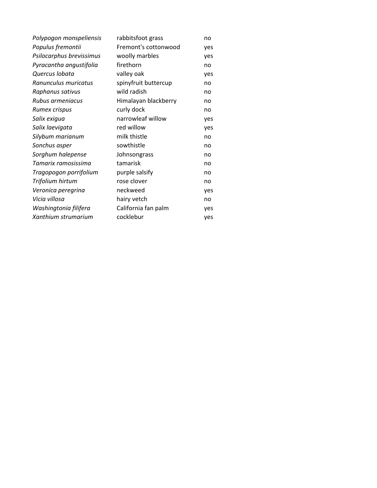| Polypogon monspeliensis  | rabbitsfoot grass    | no  |
|--------------------------|----------------------|-----|
| Populus fremontii        | Fremont's cottonwood | yes |
| Psilocarphus brevissimus | woolly marbles       | yes |
| Pyracantha angustifolia  | firethorn            | no  |
| Quercus Iobata           | valley oak           | yes |
| Ranunculus muricatus     | spinyfruit buttercup | no  |
| Raphanus sativus         | wild radish          | no  |
| Rubus armeniacus         | Himalayan blackberry | no  |
| Rumex crispus            | curly dock           | no  |
| Salix exigua             | narrowleaf willow    | yes |
| Salix laevigata          | red willow           | yes |
| Silybum marianum         | milk thistle         | no  |
| Sonchus asper            | sowthistle           | no  |
| Sorghum halepense        | Johnsongrass         | no  |
| Tamarix ramosissima      | tamarisk             | no  |
| Tragopogon porrifolium   | purple salsify       | no  |
| Trifolium hirtum         | rose clover          | no  |
| Veronica peregrina       | neckweed             | yes |
| Vicia villosa            | hairy vetch          | no  |
| Washingtonia filifera    | California fan palm  | yes |
| Xanthium strumarium      | cocklebur            | yes |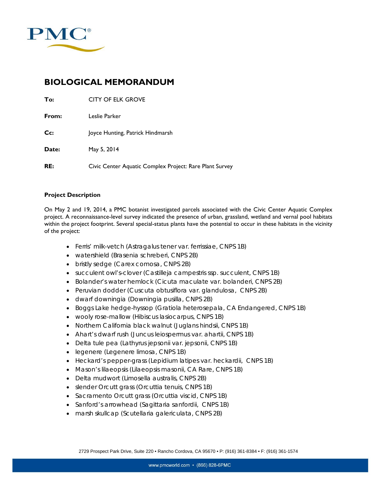

## **BIOLOGICAL MEMORANDUM**

| To:   | <b>CITY OF ELK GROVE</b>                                |
|-------|---------------------------------------------------------|
| From: | Leslie Parker                                           |
| Cc:   | Joyce Hunting, Patrick Hindmarsh                        |
| Date: | May 5, 2014                                             |
| RE:   | Civic Center Aquatic Complex Project: Rare Plant Survey |

#### **Project Description**

On May 2 and 19, 2014, a PMC botanist investigated parcels associated with the Civic Center Aquatic Complex project. A reconnaissance-level survey indicated the presence of urban, grassland, wetland and vernal pool habitats within the project footprint. Several special-status plants have the potential to occur in these habitats in the vicinity of the project:

- Ferris' milk-vetch (*Astragalus tener* var. *ferrissiae*, CNPS 1B)
- watershield (*Brasenia schreberi,* CNPS 2B)
- bristly sedge (*Carex comosa*, CNPS 2B)
- succulent owl's-clover (*Castilleja campestris* ssp. *succulent,* CNPS 1B)
- Bolander's water hemlock (*Cicuta maculate var. bolanderi,* CNPS 2B)
- Peruvian dodder (*Cuscuta obtusiflora var. glandulosa,* CNPS 2B)
- dwarf downingia (*Downingia pusilla,* CNPS 2B)
- Boggs Lake hedge-hyssop (*Gratiola heterosepala,* CA Endangered, CNPS 1B)
- wooly rose-mallow (*Hibiscus lasiocarpus,* CNPS 1B)
- Northern California black walnut (*Juglans hindsii,* CNPS 1B)
- Ahart's dwarf rush (*Juncus leiospermus var. ahartii*, CNPS 1B)
- Delta tule pea (*Lathyrus jepsonii var. jepsonii,* CNPS 1B)
- legenere (*Legenere limosa,* CNPS 1B)
- Heckard's pepper-grass (*Lepidium latipes var. heckardii,* CNPS 1B)
- Mason's lilaeopsis (*Lilaeopsis masonii,* CA Rare, CNPS 1B)
- Delta mudwort (*Limosella australis*, CNPS 2B)
- slender Orcutt grass (*Orcuttia tenuis*, CNPS 1B)
- Sacramento Orcutt grass (*Orcuttia viscid*, CNPS 1B)
- Sanford's arrowhead (*Sagittaria sanfordii,* CNPS 1B)
- marsh skullcap (*Scutellaria galericulata,* CNPS 2B)